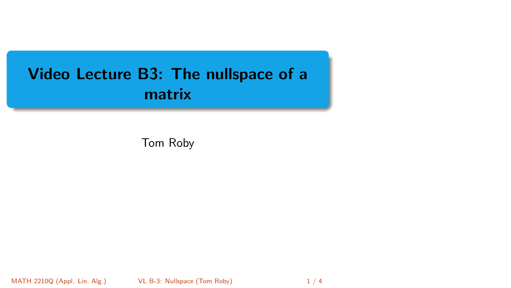# <span id="page-0-0"></span>Video Lecture B3: The nullspace of a matrix

Tom Roby

MATH 2210Q (Appl. Lin. Alg.) VL B-3: Nullspace (Tom Roby) 1/4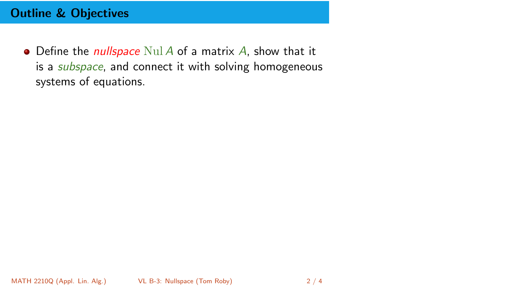## Outline & Objectives

 $\bullet$  Define the *nullspace* Nul A of a matrix A, show that it is a *subspace*, and connect it with solving homogeneous systems of equations.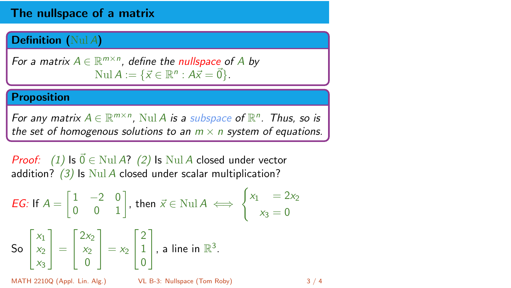## The nullspace of a matrix

### Definition (Nul A)

For a matrix  $A \in \mathbb{R}^{m \times n}$ , define the nullspace of A by Nul  $A := \{ \vec{x} \in \mathbb{R}^n : A\vec{x} = \vec{0} \}.$ 

#### Proposition

For any matrix  $A \in \mathbb{R}^{m \times n}$ , Nul A is a subspace of  $\mathbb{R}^n$ . Thus, so is the set of homogenous solutions to an  $m \times n$  system of equations.

*Proof:* (1) Is  $\vec{0} \in$  Nul A? (2) Is Nul A closed under vector addition?  $(3)$  Is Nul A closed under scalar multiplication?

**EG:** If 
$$
A = \begin{bmatrix} 1 & -2 & 0 \\ 0 & 0 & 1 \end{bmatrix}
$$
, then  $\vec{x} \in \text{Null } A \iff \begin{cases} x_1 & = 2x_2 \\ x_3 & = 0 \end{cases}$ 

\n**So**  $\begin{bmatrix} x_1 \\ x_2 \\ x_3 \end{bmatrix} = \begin{bmatrix} 2x_2 \\ x_2 \\ 0 \end{bmatrix} = x_2 \begin{bmatrix} 2 \\ 1 \\ 0 \end{bmatrix}$ , a line in  $\mathbb{R}^3$ .

\n**MATH 2210Q (Appl. Lin. Alg)**

\n**VALB-3: Nullspace (Tom Roby)**

\n**3/4**